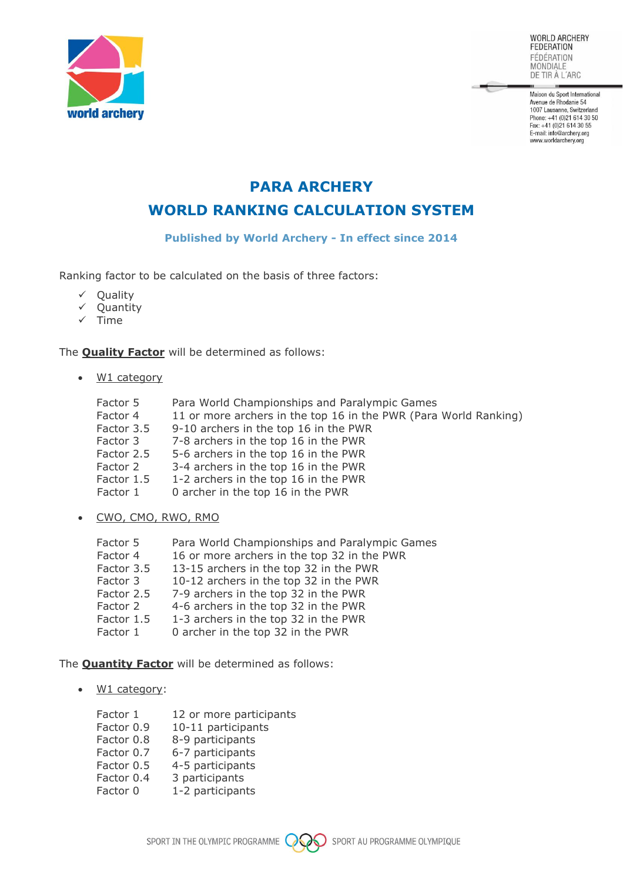

**WORLD ARCHERY FEDERATION** FÉDÉRATION MONDIALE<br>DE TIR À L'ARC

Maison du Sport International Avenue de Rhodanie 54<br>1007 Lausanne, Switzerland Phone: +41 (0)21 614 30 50 Fridde: ++1 (0/21 614 30 55<br>Fax: +41 (0)21 614 30 55<br>E-mail: info@archery.org www.worldarchery.org

## **PARA ARCHERY**

**WORLD RANKING CALCULATION SYSTEM**

**Published by World Archery - In effect since 2014**

Ranking factor to be calculated on the basis of three factors:

- ✓ Quality
- ✓ Quantity
- ✓ Time

The **Quality Factor** will be determined as follows:

• W1 category

| Factor 5   | Para World Championships and Paralympic Games                    |
|------------|------------------------------------------------------------------|
| Factor 4   | 11 or more archers in the top 16 in the PWR (Para World Ranking) |
| Factor 3.5 | 9-10 archers in the top 16 in the PWR                            |
| Factor 3   | 7-8 archers in the top 16 in the PWR                             |
| Factor 2.5 | 5-6 archers in the top 16 in the PWR                             |
| Factor 2   | 3-4 archers in the top 16 in the PWR                             |
| Factor 1.5 | 1-2 archers in the top 16 in the PWR                             |
| Factor 1   | 0 archer in the top 16 in the PWR                                |

• CWO, CMO, RWO, RMO

| Factor 5   | Para World Championships and Paralympic Games |
|------------|-----------------------------------------------|
| Factor 4   | 16 or more archers in the top 32 in the PWR   |
| Factor 3.5 | 13-15 archers in the top 32 in the PWR        |
| Factor 3   | 10-12 archers in the top 32 in the PWR        |
| Factor 2.5 | 7-9 archers in the top 32 in the PWR          |
| Factor 2   | 4-6 archers in the top 32 in the PWR          |
| Factor 1.5 | 1-3 archers in the top 32 in the PWR          |
| Factor 1   | 0 archer in the top 32 in the PWR             |

The **Quantity Factor** will be determined as follows:

• W1 category:

| Factor 1   | 12 or more participants |
|------------|-------------------------|
| Factor 0.9 | 10-11 participants      |
| Factor 0.8 | 8-9 participants        |
| Factor 0.7 | 6-7 participants        |
| Factor 0.5 | 4-5 participants        |
| Factor 0.4 | 3 participants          |
| Factor 0   | 1-2 participants        |